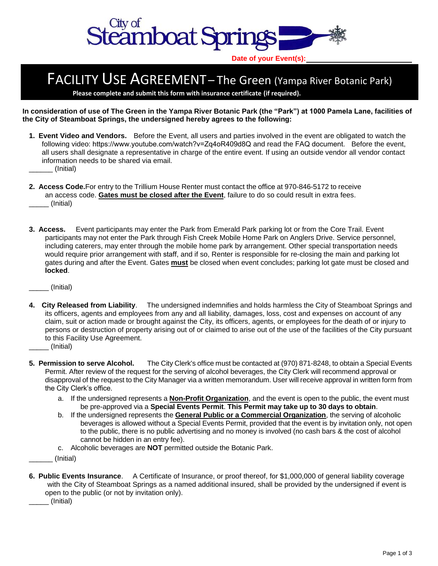

**Date of your Event(s):**

## FACILITY USE AGREEMENT-The Green (Yampa River Botanic Park)

**Please complete and submit this form with insurance certificate (if required).** 

**In consideration of use of The Green in the Yampa River Botanic Park (the "Park") at 1000 Pamela Lane, facilities of the City of Steamboat Springs, the undersigned hereby agrees to the following:** 

- **1. Event Video and Vendors.** Before the Event, all users and parties involved in the event are obligated to watch the following video: [https://www.youtube.com/watch?v=Zq4oR409d8Q](http://www.yrbp.org/wedding.php) and read the FAQ document. Before the event, all users shall designate a representative in charge of the entire event. If using an outside vendor all vendor contact information needs to be shared via email.
	- \_\_\_\_\_\_ (Initial)
- **2. Access Code.** For entry to the Trillium House Renter must contact the office at 970-846-5172 to receive an access code. **Gates must be closed after the Event**, failure to do so could result in extra fees. \_\_\_\_\_ (Initial)
- **3. Access.** Event participants may enter the Park from Emerald Park parking lot or from the Core Trail. Event participants may not enter the Park through Fish Creek Mobile Home Park on Anglers Drive. Service personnel, including caterers, may enter through the mobile home park by arrangement. Other special transportation needs would require prior arrangement with staff, and if so, Renter is responsible for re-closing the main and parking lot gates during and after the Event. Gates **must** be closed when event concludes; parking lot gate must be closed and **locked**.

\_\_\_\_\_ (Initial)

- **4. City Released from Liability**. The undersigned indemnifies and holds harmless the City of Steamboat Springs and its officers, agents and employees from any and all liability, damages, loss, cost and expenses on account of any claim, suit or action made or brought against the City, its officers, agents, or employees for the death of or injury to persons or destruction of property arising out of or claimed to arise out of the use of the facilities of the City pursuant to this Facility Use Agreement.
- \_\_\_\_\_ (Initial)
- **5. Permission to serve Alcohol.** The City Clerk's office must be contacted at (970) 871-8248, to obtain a Special Events Permit. After review of the request for the serving of alcohol beverages, the City Clerk will recommend approval or disapproval of the request to the City Manager via a written memorandum. User will receive approval in written form from the City Clerk's office.
	- a. If the undersigned represents a **Non-Profit Organization**, and the event is open to the public, the event must be pre-approved via a **Special Events Permit**. **This Permit may take up to 30 days to obtain**.
	- b. If the undersigned represents the **General Public or a Commercial Organization**, the serving of alcoholic beverages is allowed without a Special Events Permit, provided that the event is by invitation only, not open to the public, there is no public advertising and no money is involved (no cash bars & the cost of alcohol cannot be hidden in an entry fee).
	- c. Alcoholic beverages are **NOT** permitted outside the Botanic Park.
- \_\_\_\_\_\_ (Initial)
- **6. Public Events Insurance**. A Certificate of Insurance, or proof thereof, for \$1,000,000 of general liability coverage with the City of Steamboat Springs as a named additional insured, shall be provided by the undersigned if event is open to the public (or not by invitation only).

\_\_\_\_\_ (Initial)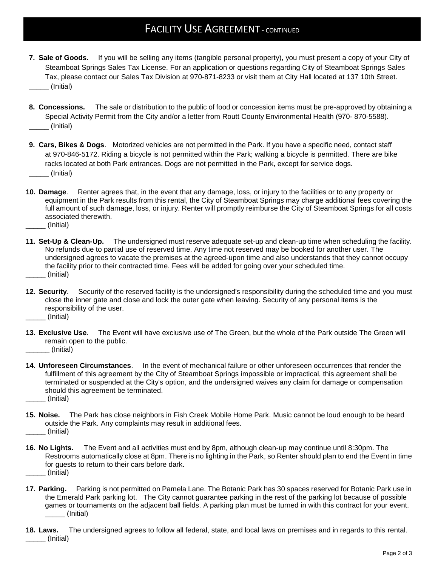## **FACILITY USE AGREEMENT - CONTINUED**

- **7. Sale of Goods.** If you will be selling any items (tangible personal property), you must present a copy of your City of Steamboat Springs Sales Tax License. For an application or questions regarding City of Steamboat Springs Sales Tax, please contact our Sales Tax Division at 970-871-8233 or visit them at City Hall located at 137 10th Street. \_\_\_\_\_ (Initial)
- **8. Concessions.** The sale or distribution to the public of food or concession items must be pre-approved by obtaining a Special Activity Permit from the City and/or a letter from Routt County Environmental Health (970- 870-5588). \_\_\_\_\_ (Initial)
- **9. Cars, Bikes & Dogs**. Motorized vehicles are not permitted in the Park. If you have a specific need, contact staff at 970-846-5172. Riding a bicycle is not permitted within the Park; walking a bicycle is permitted. There are bike racks located at both Park entrances. Dogs are not permitted in the Park, except for service dogs. \_\_\_\_\_ (Initial)
- **10. Damage**. Renter agrees that, in the event that any damage, loss, or injury to the facilities or to any property or equipment in the Park results from this rental, the City of Steamboat Springs may charge additional fees covering the full amount of such damage, loss, or injury. Renter will promptly reimburse the City of Steamboat Springs for all costs associated therewith.
- \_\_\_\_\_ (Initial)
- **11. Set-Up & Clean-Up.** The undersigned must reserve adequate set-up and clean-up time when scheduling the facility. No refunds due to partial use of reserved time. Any time not reserved may be booked for another user. The undersigned agrees to vacate the premises at the agreed-upon time and also understands that they cannot occupy the facility prior to their contracted time. Fees will be added for going over your scheduled time. \_\_\_\_\_ (Initial)
- **12. Security**. Security of the reserved facility is the undersigned's responsibility during the scheduled time and you must close the inner gate and close and lock the outer gate when leaving. Security of any personal items is the responsibility of the user.
- \_\_\_\_\_ (Initial)
- **13. Exclusive Use**. The Event will have exclusive use of The Green, but the whole of the Park outside The Green will remain open to the public. \_\_\_\_\_\_ (Initial)
- **14. Unforeseen Circumstances**. In the event of mechanical failure or other unforeseen occurrences that render the fulfillment of this agreement by the City of Steamboat Springs impossible or impractical, this agreement shall be terminated or suspended at the City's option, and the undersigned waives any claim for damage or compensation should this agreement be terminated. \_\_\_\_\_ (Initial)
- **15. Noise.** The Park has close neighbors in Fish Creek Mobile Home Park. Music cannot be loud enough to be heard outside the Park. Any complaints may result in additional fees. \_\_\_\_\_ (Initial)
- **16. No Lights.** The Event and all activities must end by 8pm, although clean-up may continue until 8:30pm. The Restrooms automatically close at 8pm. There is no lighting in the Park, so Renter should plan to end the Event in time for guests to return to their cars before dark. \_\_\_\_\_ (Initial)
- **17. Parking.** Parking is not permitted on Pamela Lane. The Botanic Park has 30 spaces reserved for Botanic Park use in the Emerald Park parking lot. The City cannot guarantee parking in the rest of the parking lot because of possible games or tournaments on the adjacent ball fields. A parking plan must be turned in with this contract for your event. \_\_\_\_\_ (Initial)
- **18. Laws.** The undersigned agrees to follow all federal, state, and local laws on premises and in regards to this rental. \_\_\_\_\_ (Initial)